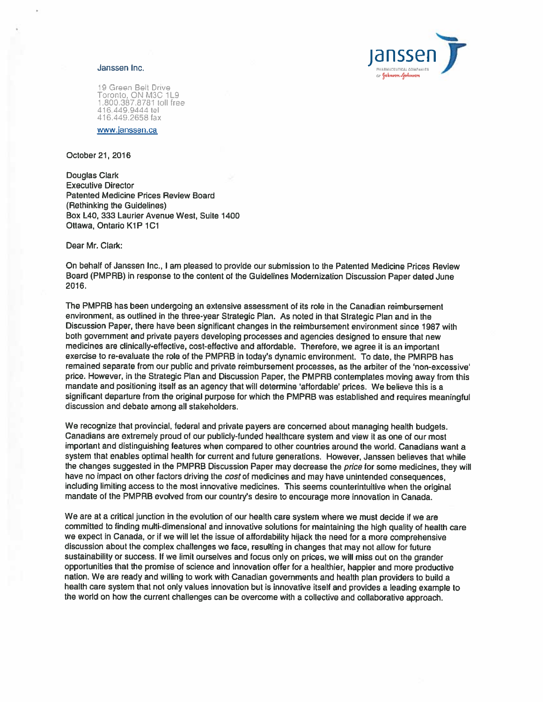

Janssen Inc.

19 Green Belt Drive Toronto, ON M3C 1L9 1.800.387.8781 toll free 416.449.9444 tel 416.449.2658 fax

www.janssen.ca

October 21, 2016

**Douglas Clark Executive Director Patented Medicine Prices Review Board** (Rethinking the Guidelines) Box L40, 333 Laurier Avenue West, Suite 1400 Ottawa, Ontario K1P 1C1

Dear Mr. Clark:

On behalf of Janssen Inc., I am pleased to provide our submission to the Patented Medicine Prices Review Board (PMPRB) in response to the content of the Guidelines Modernization Discussion Paper dated June 2016.

The PMPRB has been undergoing an extensive assessment of its role in the Canadian reimbursement environment, as outlined in the three-year Strategic Plan. As noted in that Strategic Plan and in the Discussion Paper, there have been significant changes in the reimbursement environment since 1987 with both government and private payers developing processes and agencies designed to ensure that new medicines are clinically-effective, cost-effective and affordable. Therefore, we agree it is an important exercise to re-evaluate the role of the PMPRB in today's dynamic environment. To date, the PMRPB has remained separate from our public and private reimbursement processes, as the arbiter of the 'non-excessive' price. However, in the Strategic Plan and Discussion Paper, the PMPRB contemplates moving away from this mandate and positioning itself as an agency that will determine 'affordable' prices. We believe this is a significant departure from the original purpose for which the PMPRB was established and requires meaningful discussion and debate among all stakeholders.

We recognize that provincial, federal and private payers are concerned about managing health budgets. Canadians are extremely proud of our publicly-funded healthcare system and view it as one of our most important and distinguishing features when compared to other countries around the world. Canadians want a system that enables optimal health for current and future generations. However, Janssen believes that while the changes suggested in the PMPRB Discussion Paper may decrease the price for some medicines, they will have no impact on other factors driving the cost of medicines and may have unintended consequences, including limiting access to the most innovative medicines. This seems counterintuitive when the original mandate of the PMPRB evolved from our country's desire to encourage more innovation in Canada.

We are at a critical junction in the evolution of our health care system where we must decide if we are committed to finding multi-dimensional and innovative solutions for maintaining the high quality of health care we expect in Canada, or if we will let the issue of affordability hijack the need for a more comprehensive discussion about the complex challenges we face, resulting in changes that may not allow for future sustainability or success. If we limit ourselves and focus only on prices, we will miss out on the grander opportunities that the promise of science and innovation offer for a healthier, happier and more productive nation. We are ready and willing to work with Canadian governments and health plan providers to build a health care system that not only values innovation but is innovative itself and provides a leading example to the world on how the current challenges can be overcome with a collective and collaborative approach.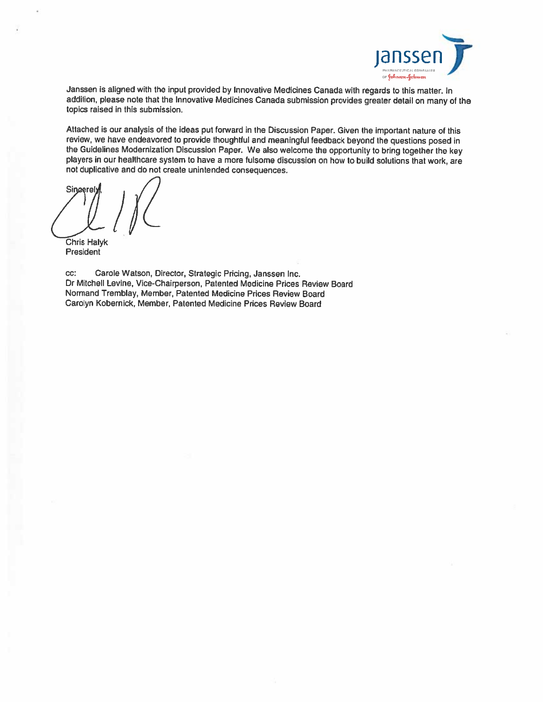

Janssen is aligned with the input provided by Innovative Medicines Canada with regards to this matter. In addition, please note that the Innovative Medicines Canada submission provides greater detail on many of the topics raised in this submission.

Attached is our analysis of the ideas put forward in the Discussion Paper. Given the important nature of this review, we have endeavored to provide thoughtful and meaningful feedback beyond the questions posed in the Guidelines Modernization Discussion Paper. We also welcome the opportunity to bring together the key players in our healthcare system to have a more fulsome discussion on how to build solutions that work, are not duplicative and do not create unintended consequences.

Singerel Chris Halyk

President

cc: Carole Watson, Director, Strategic Pricing, Janssen Inc. Dr Mitchell Levine, Vice-Chairperson, Patented Medicine Prices Review Board Normand Tremblay, Member, Patented Medicine Prices Review Board Carolyn Kobernick, Member, Patented Medicine Prices Review Board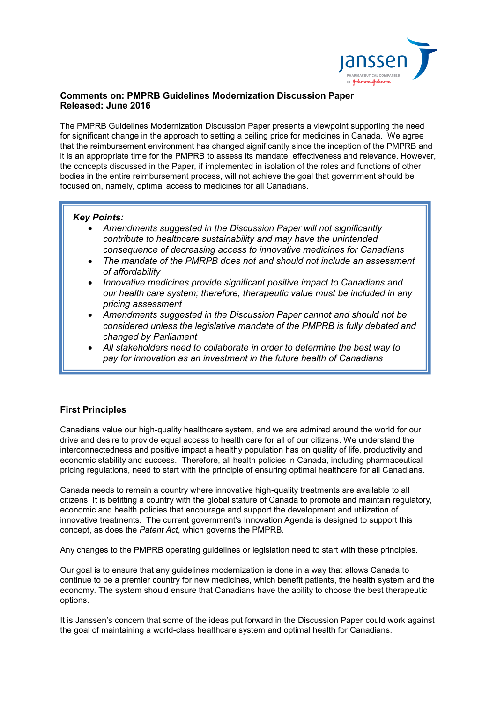

## **Comments on: PMPRB Guidelines Modernization Discussion Paper Released: June 2016**

The PMPRB Guidelines Modernization Discussion Paper presents a viewpoint supporting the need for significant change in the approach to setting a ceiling price for medicines in Canada. We agree that the reimbursement environment has changed significantly since the inception of the PMPRB and it is an appropriate time for the PMPRB to assess its mandate, effectiveness and relevance. However, the concepts discussed in the Paper, if implemented in isolation of the roles and functions of other bodies in the entire reimbursement process, will not achieve the goal that government should be focused on, namely, optimal access to medicines for all Canadians.

### *Key Points:*

- *Amendments suggested in the Discussion Paper will not significantly contribute to healthcare sustainability and may have the unintended consequence of decreasing access to innovative medicines for Canadians*
- *The mandate of the PMRPB does not and should not include an assessment of affordability*
- *Innovative medicines provide significant positive impact to Canadians and our health care system; therefore, therapeutic value must be included in any pricing assessment*
- *Amendments suggested in the Discussion Paper cannot and should not be considered unless the legislative mandate of the PMPRB is fully debated and changed by Parliament*
- *All stakeholders need to collaborate in order to determine the best way to pay for innovation as an investment in the future health of Canadians*

# **First Principles**

Canadians value our high-quality healthcare system, and we are admired around the world for our drive and desire to provide equal access to health care for all of our citizens. We understand the interconnectedness and positive impact a healthy population has on quality of life, productivity and economic stability and success. Therefore, all health policies in Canada, including pharmaceutical pricing regulations, need to start with the principle of ensuring optimal healthcare for all Canadians.

Canada needs to remain a country where innovative high-quality treatments are available to all citizens. It is befitting a country with the global stature of Canada to promote and maintain regulatory, economic and health policies that encourage and support the development and utilization of innovative treatments. The current government's Innovation Agenda is designed to support this concept, as does the *Patent Act*, which governs the PMPRB.

Any changes to the PMPRB operating guidelines or legislation need to start with these principles.

Our goal is to ensure that any guidelines modernization is done in a way that allows Canada to continue to be a premier country for new medicines, which benefit patients, the health system and the economy. The system should ensure that Canadians have the ability to choose the best therapeutic options.

It is Janssen's concern that some of the ideas put forward in the Discussion Paper could work against the goal of maintaining a world-class healthcare system and optimal health for Canadians.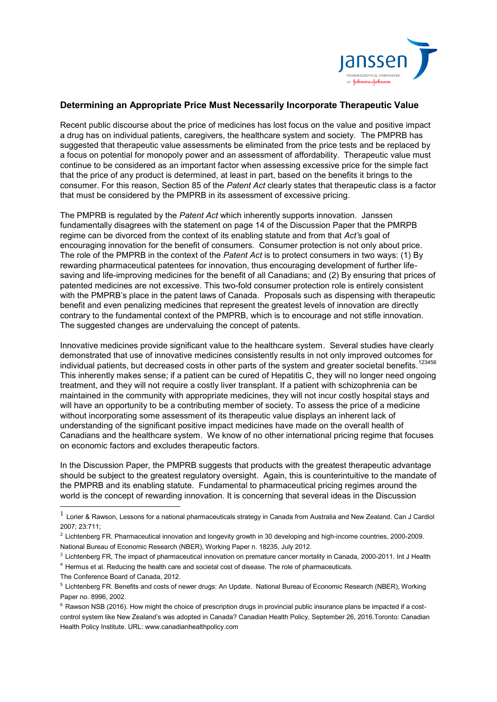

## **Determining an Appropriate Price Must Necessarily Incorporate Therapeutic Value**

Recent public discourse about the price of medicines has lost focus on the value and positive impact a drug has on individual patients, caregivers, the healthcare system and society. The PMPRB has suggested that therapeutic value assessments be eliminated from the price tests and be replaced by a focus on potential for monopoly power and an assessment of affordability. Therapeutic value must continue to be considered as an important factor when assessing excessive price for the simple fact that the price of any product is determined, at least in part, based on the benefits it brings to the consumer. For this reason, Section 85 of the *Patent Act* clearly states that therapeutic class is a factor that must be considered by the PMPRB in its assessment of excessive pricing.

The PMPRB is regulated by the *Patent Act* which inherently supports innovation. Janssen fundamentally disagrees with the statement on page 14 of the Discussion Paper that the PMRPB regime can be divorced from the context of its enabling statute and from that *Act'*s goal of encouraging innovation for the benefit of consumers. Consumer protection is not only about price. The role of the PMPRB in the context of the *Patent Act* is to protect consumers in two ways: (1) By rewarding pharmaceutical patentees for innovation, thus encouraging development of further lifesaving and life-improving medicines for the benefit of all Canadians; and (2) By ensuring that prices of patented medicines are not excessive. This two-fold consumer protection role is entirely consistent with the PMPRB's place in the patent laws of Canada. Proposals such as dispensing with therapeutic benefit and even penalizing medicines that represent the greatest levels of innovation are directly contrary to the fundamental context of the PMPRB, which is to encourage and not stifle innovation. The suggested changes are undervaluing the concept of patents.

Innovative medicines provide significant value to the healthcare system. Several studies have clearly demonstrated that use of innovative medicines consistently results in not only improved outcomes for individual patients, but decreased costs in other parts of the system and greater societal benefits.<sup>123456</sup> This inherently makes sense; if a patient can be cured of Hepatitis C, they will no longer need ongoing treatment, and they will not require a costly liver transplant. If a patient with schizophrenia can be maintained in the community with appropriate medicines, they will not incur costly hospital stays and will have an opportunity to be a contributing member of society. To assess the price of a medicine without incorporating some assessment of its therapeutic value displays an inherent lack of understanding of the significant positive impact medicines have made on the overall health of Canadians and the healthcare system. We know of no other international pricing regime that focuses on economic factors and excludes therapeutic factors.

In the Discussion Paper, the PMPRB suggests that products with the greatest therapeutic advantage should be subject to the greatest regulatory oversight. Again, this is counterintuitive to the mandate of the PMPRB and its enabling statute*.* Fundamental to pharmaceutical pricing regimes around the world is the concept of rewarding innovation. It is concerning that several ideas in the Discussion

-

<sup>&</sup>lt;sup>1</sup> Lorier & Rawson, Lessons for a national pharmaceuticals strategy in Canada from Australia and New Zealand. Can J Cardiol 2007; 23:711;

<sup>&</sup>lt;sup>2</sup> Lichtenberg FR. Pharmaceutical innovation and longevity growth in 30 developing and high-income countries, 2000-2009. National Bureau of Economic Research (NBER), Working Paper n. 18235, July 2012.

<sup>&</sup>lt;sup>3</sup> Lichtenberg FR, The impact of pharmaceutical innovation on premature cancer mortality in Canada, 2000-2011. Int J Health

<sup>&</sup>lt;sup>4</sup> Hermus et al. Reducing the health care and societal cost of disease. The role of pharmaceuticals.

The Conference Board of Canada, 2012.

<sup>&</sup>lt;sup>5</sup> Lichtenberg FR. Benefits and costs of newer drugs: An Update. National Bureau of Economic Research (NBER), Working Paper no. 8996, 2002.

<sup>6</sup> Rawson NSB (2016). How might the choice of prescription drugs in provincial public insurance plans be impacted if a costcontrol system like New Zealand's was adopted in Canada? Canadian Health Policy, September 26, 2016.Toronto: Canadian Health Policy Institute. URL: www.canadianhealthpolicy.com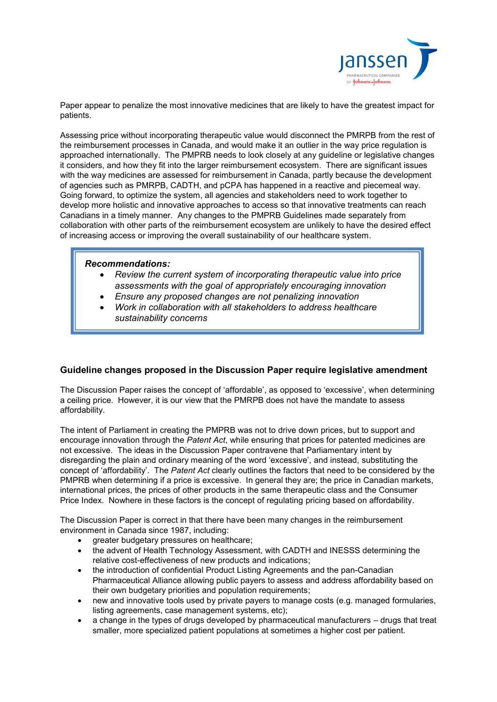

Paper appear to penalize the most innovative medicines that are likely to have the greatest impact for patients.

Assessing price without incorporating therapeutic value would disconnect the PMRPB from the rest of the reimbursement processes in Canada, and would make it an outlier in the way price regulation is approached internationally. The PMPRB needs to look closely at any guideline or legislative changes it considers, and how they fit into the larger reimbursement ecosystem. There are significant issues with the way medicines are assessed for reimbursement in Canada, partly because the development of agencies such as PMRPB, CADTH, and pCPA has happened in a reactive and piecemeal way. Going forward, to optimize the system, all agencies and stakeholders need to work together to develop more holistic and innovative approaches to access so that innovative treatments can reach Canadians in a timely manner. Any changes to the PMPRB Guidelines made separately from collaboration with other parts of the reimbursement ecosystem are unlikely to have the desired effect of increasing access or improving the overall sustainability of our healthcare system.

#### *Recommendations:*

- *Review the current system of incorporating therapeutic value into price assessments with the goal of appropriately encouraging innovation*
- *Ensure any proposed changes are not penalizing innovation*
- *Work in collaboration with all stakeholders to address healthcare sustainability concerns*

# **Guideline changes proposed in the Discussion Paper require legislative amendment**

The Discussion Paper raises the concept of 'affordable', as opposed to 'excessive', when determining a ceiling price. However, it is our view that the PMRPB does not have the mandate to assess affordability.

The intent of Parliament in creating the PMPRB was not to drive down prices, but to support and encourage innovation through the *Patent Act*, while ensuring that prices for patented medicines are not excessive. The ideas in the Discussion Paper contravene that Parliamentary intent by disregarding the plain and ordinary meaning of the word 'excessive', and instead, substituting the concept of 'affordability'. The *Patent Act* clearly outlines the factors that need to be considered by the PMPRB when determining if a price is excessive. In general they are; the price in Canadian markets, international prices, the prices of other products in the same therapeutic class and the Consumer Price Index. Nowhere in these factors is the concept of regulating pricing based on affordability.

The Discussion Paper is correct in that there have been many changes in the reimbursement environment in Canada since 1987, including:

- greater budgetary pressures on healthcare;
- the advent of Health Technology Assessment, with CADTH and INESSS determining the relative cost-effectiveness of new products and indications;
- the introduction of confidential Product Listing Agreements and the pan-Canadian Pharmaceutical Alliance allowing public payers to assess and address affordability based on their own budgetary priorities and population requirements;
- new and innovative tools used by private payers to manage costs (e.g. managed formularies, listing agreements, case management systems, etc);
- a change in the types of drugs developed by pharmaceutical manufacturers drugs that treat smaller, more specialized patient populations at sometimes a higher cost per patient.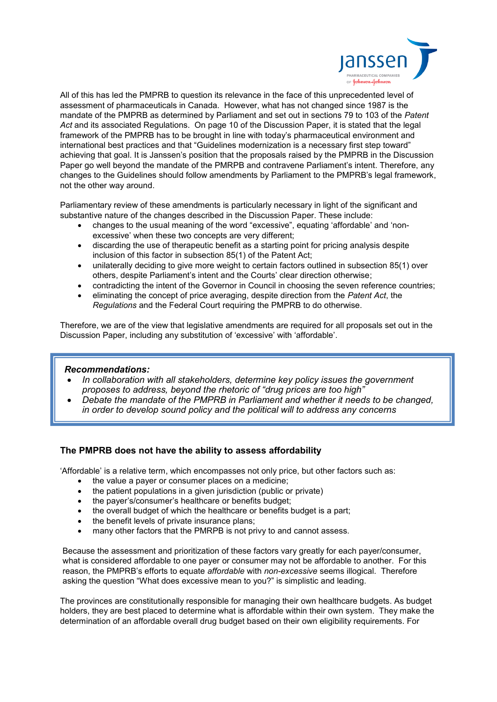

All of this has led the PMPRB to question its relevance in the face of this unprecedented level of assessment of pharmaceuticals in Canada. However, what has not changed since 1987 is the mandate of the PMPRB as determined by Parliament and set out in sections 79 to 103 of the *Patent Act* and its associated Regulations. On page 10 of the Discussion Paper, it is stated that the legal framework of the PMPRB has to be brought in line with today's pharmaceutical environment and international best practices and that "Guidelines modernization is a necessary first step toward" achieving that goal. It is Janssen's position that the proposals raised by the PMPRB in the Discussion Paper go well beyond the mandate of the PMRPB and contravene Parliament's intent. Therefore, any changes to the Guidelines should follow amendments by Parliament to the PMPRB's legal framework, not the other way around.

Parliamentary review of these amendments is particularly necessary in light of the significant and substantive nature of the changes described in the Discussion Paper. These include:

- changes to the usual meaning of the word "excessive", equating 'affordable' and 'nonexcessive' when these two concepts are very different;
- discarding the use of therapeutic benefit as a starting point for pricing analysis despite inclusion of this factor in subsection 85(1) of the Patent Act;
- unilaterally deciding to give more weight to certain factors outlined in subsection 85(1) over others, despite Parliament's intent and the Courts' clear direction otherwise;
- contradicting the intent of the Governor in Council in choosing the seven reference countries;
- eliminating the concept of price averaging, despite direction from the *Patent Act*, the *Regulations* and the Federal Court requiring the PMPRB to do otherwise.

Therefore, we are of the view that legislative amendments are required for all proposals set out in the Discussion Paper, including any substitution of 'excessive' with 'affordable'.

### *Recommendations:*

- *In collaboration with all stakeholders, determine key policy issues the government proposes to address, beyond the rhetoric of "drug prices are too high"*
- *Debate the mandate of the PMPRB in Parliament and whether it needs to be changed, in order to develop sound policy and the political will to address any concerns*

### **The PMPRB does not have the ability to assess affordability**

'Affordable' is a relative term, which encompasses not only price, but other factors such as:

- the value a payer or consumer places on a medicine;
- the patient populations in a given jurisdiction (public or private)
- the payer's/consumer's healthcare or benefits budget:
- the overall budget of which the healthcare or benefits budget is a part;
- the benefit levels of private insurance plans;
- many other factors that the PMRPB is not privy to and cannot assess.

Because the assessment and prioritization of these factors vary greatly for each payer/consumer, what is considered affordable to one payer or consumer may not be affordable to another. For this reason, the PMPRB's efforts to equate *affordable* with *non-excessive* seems illogical. Therefore asking the question "What does excessive mean to you?" is simplistic and leading.

The provinces are constitutionally responsible for managing their own healthcare budgets. As budget holders, they are best placed to determine what is affordable within their own system. They make the determination of an affordable overall drug budget based on their own eligibility requirements. For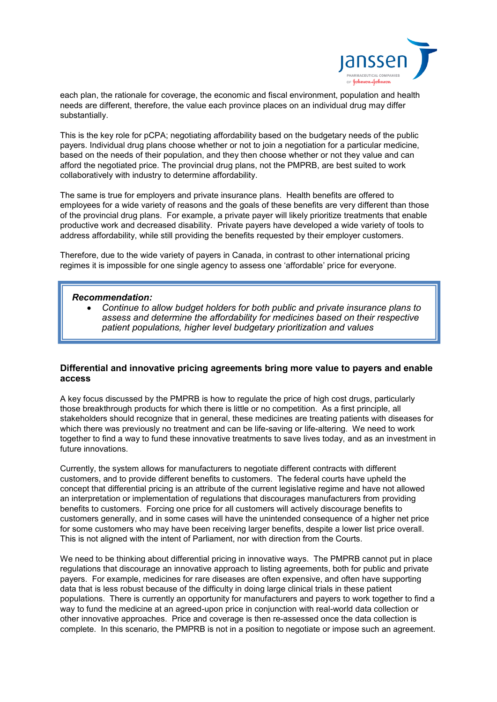

each plan, the rationale for coverage, the economic and fiscal environment, population and health needs are different, therefore, the value each province places on an individual drug may differ substantially.

This is the key role for pCPA; negotiating affordability based on the budgetary needs of the public payers. Individual drug plans choose whether or not to join a negotiation for a particular medicine, based on the needs of their population, and they then choose whether or not they value and can afford the negotiated price. The provincial drug plans, not the PMPRB, are best suited to work collaboratively with industry to determine affordability.

The same is true for employers and private insurance plans. Health benefits are offered to employees for a wide variety of reasons and the goals of these benefits are very different than those of the provincial drug plans. For example, a private payer will likely prioritize treatments that enable productive work and decreased disability. Private payers have developed a wide variety of tools to address affordability, while still providing the benefits requested by their employer customers.

Therefore, due to the wide variety of payers in Canada, in contrast to other international pricing regimes it is impossible for one single agency to assess one 'affordable' price for everyone.

### *Recommendation:*

 *Continue to allow budget holders for both public and private insurance plans to assess and determine the affordability for medicines based on their respective patient populations, higher level budgetary prioritization and values*

### **Differential and innovative pricing agreements bring more value to payers and enable access**

A key focus discussed by the PMPRB is how to regulate the price of high cost drugs, particularly those breakthrough products for which there is little or no competition. As a first principle, all stakeholders should recognize that in general, these medicines are treating patients with diseases for which there was previously no treatment and can be life-saving or life-altering. We need to work together to find a way to fund these innovative treatments to save lives today, and as an investment in future innovations.

Currently, the system allows for manufacturers to negotiate different contracts with different customers, and to provide different benefits to customers. The federal courts have upheld the concept that differential pricing is an attribute of the current legislative regime and have not allowed an interpretation or implementation of regulations that discourages manufacturers from providing benefits to customers. Forcing one price for all customers will actively discourage benefits to customers generally, and in some cases will have the unintended consequence of a higher net price for some customers who may have been receiving larger benefits, despite a lower list price overall. This is not aligned with the intent of Parliament, nor with direction from the Courts.

We need to be thinking about differential pricing in innovative ways. The PMPRB cannot put in place regulations that discourage an innovative approach to listing agreements, both for public and private payers. For example, medicines for rare diseases are often expensive, and often have supporting data that is less robust because of the difficulty in doing large clinical trials in these patient populations. There is currently an opportunity for manufacturers and payers to work together to find a way to fund the medicine at an agreed-upon price in conjunction with real-world data collection or other innovative approaches. Price and coverage is then re-assessed once the data collection is complete. In this scenario, the PMPRB is not in a position to negotiate or impose such an agreement.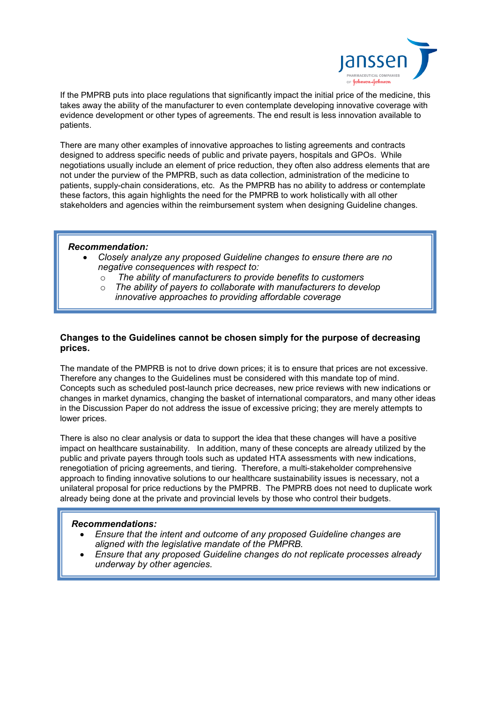

If the PMPRB puts into place regulations that significantly impact the initial price of the medicine, this takes away the ability of the manufacturer to even contemplate developing innovative coverage with evidence development or other types of agreements. The end result is less innovation available to patients.

There are many other examples of innovative approaches to listing agreements and contracts designed to address specific needs of public and private payers, hospitals and GPOs. While negotiations usually include an element of price reduction, they often also address elements that are not under the purview of the PMPRB, such as data collection, administration of the medicine to patients, supply-chain considerations, etc. As the PMPRB has no ability to address or contemplate these factors, this again highlights the need for the PMPRB to work holistically with all other stakeholders and agencies within the reimbursement system when designing Guideline changes.

### *Recommendation:*

- *Closely analyze any proposed Guideline changes to ensure there are no negative consequences with respect to:*
	- o *The ability of manufacturers to provide benefits to customers*
	- o *The ability of payers to collaborate with manufacturers to develop* 
		- *innovative approaches to providing affordable coverage*

## **Changes to the Guidelines cannot be chosen simply for the purpose of decreasing prices.**

The mandate of the PMPRB is not to drive down prices; it is to ensure that prices are not excessive. Therefore any changes to the Guidelines must be considered with this mandate top of mind. Concepts such as scheduled post-launch price decreases, new price reviews with new indications or changes in market dynamics, changing the basket of international comparators, and many other ideas in the Discussion Paper do not address the issue of excessive pricing; they are merely attempts to lower prices.

There is also no clear analysis or data to support the idea that these changes will have a positive impact on healthcare sustainability. In addition, many of these concepts are already utilized by the public and private payers through tools such as updated HTA assessments with new indications, renegotiation of pricing agreements, and tiering. Therefore, a multi-stakeholder comprehensive approach to finding innovative solutions to our healthcare sustainability issues is necessary, not a unilateral proposal for price reductions by the PMPRB. The PMPRB does not need to duplicate work already being done at the private and provincial levels by those who control their budgets.

### *Recommendations:*

- *Ensure that the intent and outcome of any proposed Guideline changes are aligned with the legislative mandate of the PMPRB.*
- *Ensure that any proposed Guideline changes do not replicate processes already underway by other agencies.*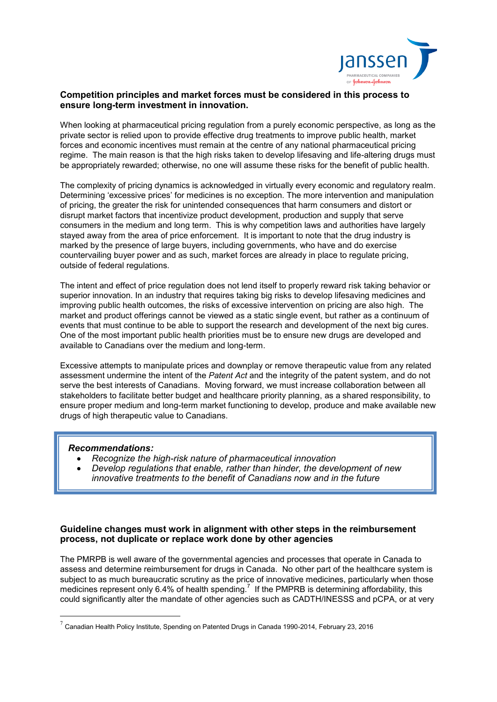

### **Competition principles and market forces must be considered in this process to ensure long-term investment in innovation.**

When looking at pharmaceutical pricing regulation from a purely economic perspective, as long as the private sector is relied upon to provide effective drug treatments to improve public health, market forces and economic incentives must remain at the centre of any national pharmaceutical pricing regime. The main reason is that the high risks taken to develop lifesaving and life-altering drugs must be appropriately rewarded; otherwise, no one will assume these risks for the benefit of public health.

The complexity of pricing dynamics is acknowledged in virtually every economic and regulatory realm. Determining 'excessive prices' for medicines is no exception. The more intervention and manipulation of pricing, the greater the risk for unintended consequences that harm consumers and distort or disrupt market factors that incentivize product development, production and supply that serve consumers in the medium and long term. This is why competition laws and authorities have largely stayed away from the area of price enforcement. It is important to note that the drug industry is marked by the presence of large buyers, including governments, who have and do exercise countervailing buyer power and as such, market forces are already in place to regulate pricing, outside of federal regulations.

The intent and effect of price regulation does not lend itself to properly reward risk taking behavior or superior innovation. In an industry that requires taking big risks to develop lifesaving medicines and improving public health outcomes, the risks of excessive intervention on pricing are also high. The market and product offerings cannot be viewed as a static single event, but rather as a continuum of events that must continue to be able to support the research and development of the next big cures. One of the most important public health priorities must be to ensure new drugs are developed and available to Canadians over the medium and long-term.

Excessive attempts to manipulate prices and downplay or remove therapeutic value from any related assessment undermine the intent of the *Patent Act* and the integrity of the patent system, and do not serve the best interests of Canadians. Moving forward, we must increase collaboration between all stakeholders to facilitate better budget and healthcare priority planning, as a shared responsibility, to ensure proper medium and long-term market functioning to develop, produce and make available new drugs of high therapeutic value to Canadians.

#### *Recommendations:*

1

- *Recognize the high-risk nature of pharmaceutical innovation*
- *Develop regulations that enable, rather than hinder, the development of new innovative treatments to the benefit of Canadians now and in the future*

### **Guideline changes must work in alignment with other steps in the reimbursement process, not duplicate or replace work done by other agencies**

The PMRPB is well aware of the governmental agencies and processes that operate in Canada to assess and determine reimbursement for drugs in Canada. No other part of the healthcare system is subject to as much bureaucratic scrutiny as the price of innovative medicines, particularly when those medicines represent only 6.4% of health spending.<sup>7</sup> If the PMPRB is determining affordability, this could significantly alter the mandate of other agencies such as CADTH/INESSS and pCPA, or at very

 $^7$  Canadian Health Policy Institute, Spending on Patented Drugs in Canada 1990-2014, February 23, 2016